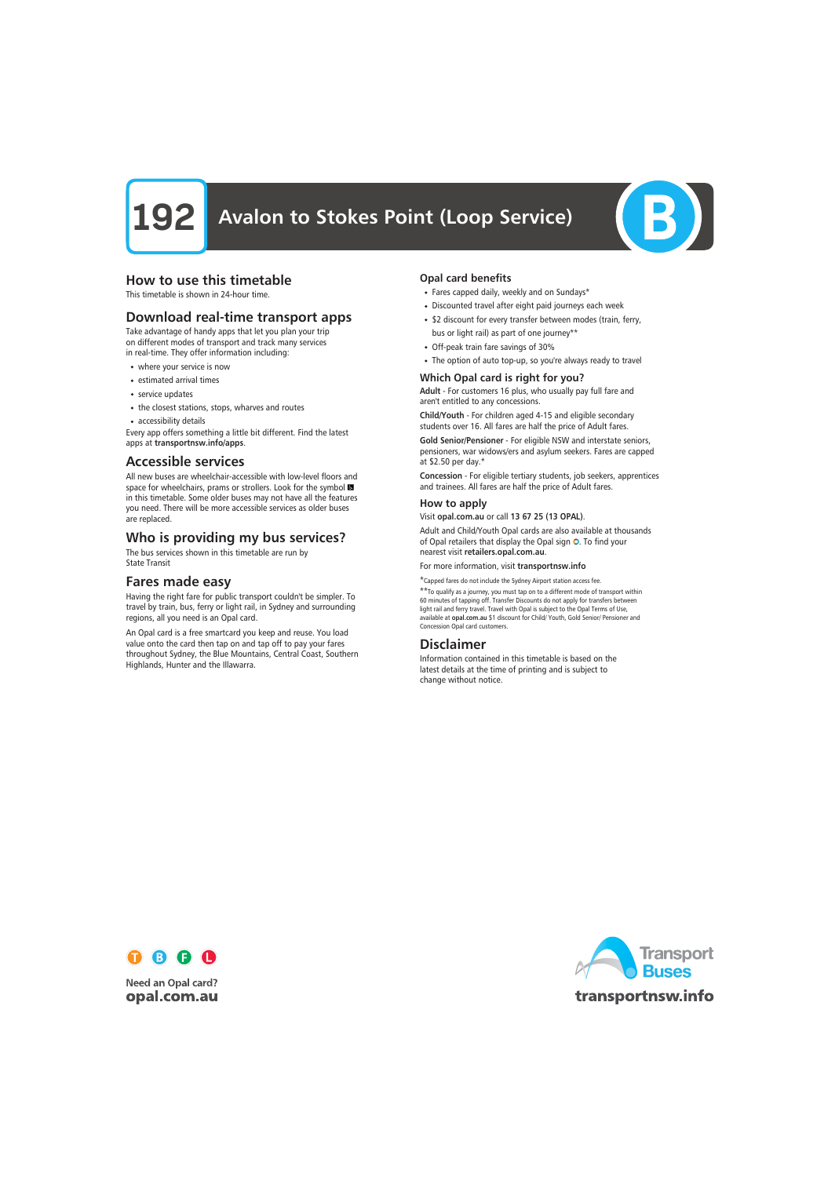

# How to use this timetable

This timetable is shown in 24-hour time.

# Download real-time transport apps

Take advantage of handy apps that let you plan your trip on different modes of transport and track many services in real-time. They offer information including:

- where your service is now
- estimated arrival times
- service updates
- the closest stations, stops, wharves and routes
- accessibility details

Every app offers something a little bit different. Find the latest apps at transportnsw.info/apps.

## Accessible services

All new buses are wheelchair-accessible with low-level floors and space for wheelchairs, prams or strollers. Look for the symbol in this timetable. Some older buses may not have all the features you need. There will be more accessible services as older buses are replaced.

# Who is providing my bus services?

The bus services shown in this timetable are run by State Transit

# Fares made easy

Having the right fare for public transport couldn't be simpler. To travel by train, bus, ferry or light rail, in Sydney and surrounding regions, all you need is an Opal card.

An Opal card is a free smartcard you keep and reuse. You load value onto the card then tap on and tap off to pay your fares throughout Sydney, the Blue Mountains, Central Coast, Southern Highlands, Hunter and the Illawarra.

### Opal card benefits

- Fares capped daily, weekly and on Sundays\*
- Discounted travel after eight paid journeys each week
- \$2 discount for every transfer between modes (train, ferry, bus or light rail) as part of one journey\*\*
- Off-peak train fare savings of 30%
- The option of auto top-up, so you're always ready to travel

#### Which Opal card is right for you?

Adult - For customers 16 plus, who usually pay full fare and aren't entitled to any concessions.

Child/Youth - For children aged 4-15 and eligible secondary students over 16. All fares are half the price of Adult fares.

Gold Senior/Pensioner - For eligible NSW and interstate seniors, pensioners, war widows/ers and asylum seekers. Fares are capped at \$2.50 per day.\*

Concession - For eligible tertiary students, job seekers, apprentices and trainees. All fares are half the price of Adult fares.

#### How to apply

Visit opal.com.au or call 13 67 25 (13 OPAL).

Adult and Child/Youth Opal cards are also available at thousands of Opal retailers that display the Opal sign  $\bullet$ . To find your nearest visit retailers.opal.com.au.

For more information, visit transportnsw.info

\*Capped fares do not include the Sydney Airport station access fee. \*\*To qualify as a journey, you must tap on to a different mode of transport within

60 minutes of tapping off. Transfer Discounts do not apply for transfers between light rail and ferry travel. Travel with Opal is subject to the Opal Terms of Use, available at opal.com.au \$1 discount for Child/ Youth, Gold Senior/ Pensioner and Concession Opal card customers.

# Disclaimer

Information contained in this timetable is based on the latest details at the time of printing and is subject to change without notice.



**Need an Opal card?** opal.com.au

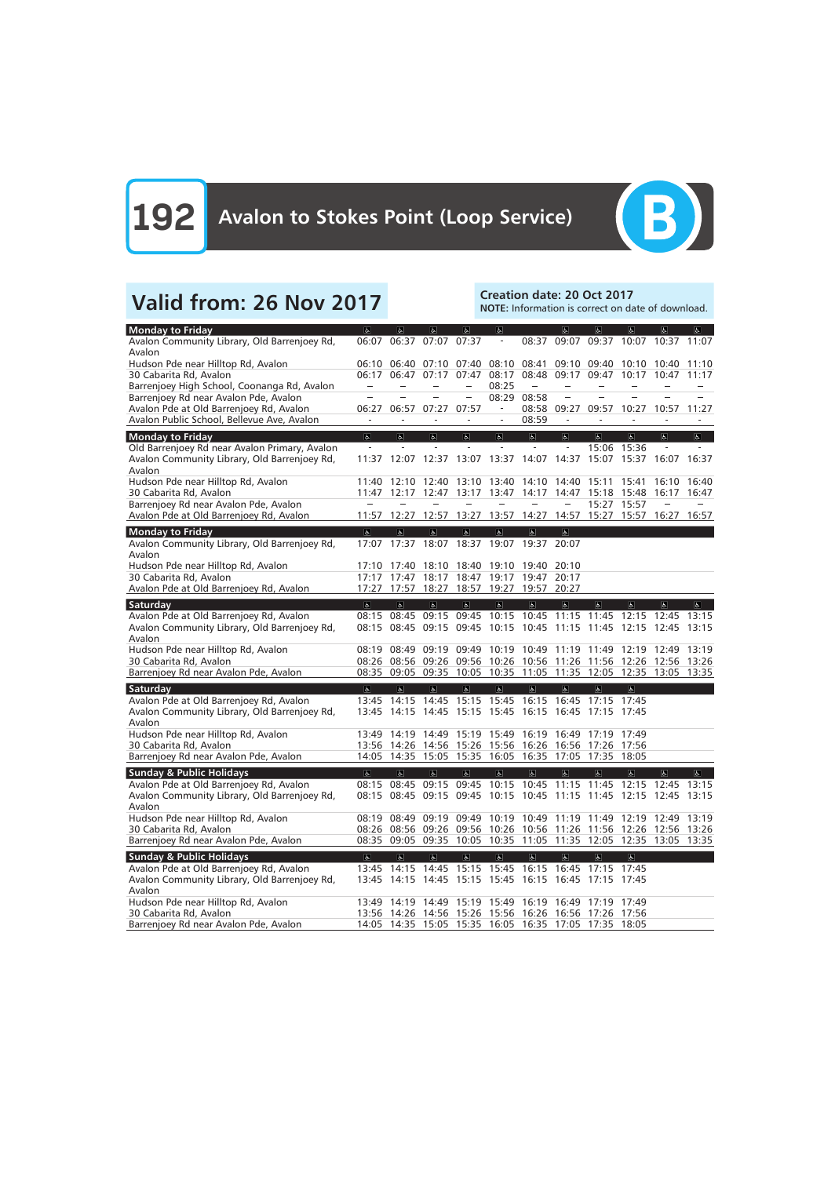

# Valid from: 26 Nov 2017<br>
Valid from: 26 Nov 2017

NOTE: Information is correct on date of download.

| <b>Monday to Friday</b>                       | $\sigma$                | $ \mathbf{r} $          | $\overline{a}$                     | も                        | $\overline{6}$                      |                         | $\sigma$                 | $\sigma$                                                          | $\sigma$                | $\sigma$       | $\overline{a}$ |
|-----------------------------------------------|-------------------------|-------------------------|------------------------------------|--------------------------|-------------------------------------|-------------------------|--------------------------|-------------------------------------------------------------------|-------------------------|----------------|----------------|
| Avalon Community Library, Old Barrenjoey Rd,  | 06:07                   | 06:37                   | 07:07                              | 07:37                    | $\overline{\phantom{a}}$            | 08:37                   | 09:07                    |                                                                   | 09:37 10:07 10:37 11:07 |                |                |
| Avalon                                        |                         |                         |                                    |                          |                                     |                         |                          |                                                                   |                         |                |                |
| Hudson Pde near Hilltop Rd, Avalon            |                         | 06:10 06:40             | 07:10                              | 07:40                    | 08:10                               | 08:41                   | 09:10                    | 09:40                                                             | 10:10                   | 10:40          | 11:10          |
| 30 Cabarita Rd, Avalon                        | 06:17                   | 06:47                   | 07:17                              | 07:47                    | 08:17                               | 08:48                   | 09:17                    | 09:47                                                             | 10:17                   | 10:47          | 11:17          |
| Barrenjoey High School, Coonanga Rd, Avalon   |                         |                         |                                    |                          | 08:25                               |                         |                          |                                                                   |                         |                |                |
| Barrenjoey Rd near Avalon Pde, Avalon         |                         |                         |                                    |                          | 08:29                               | 08:58                   |                          |                                                                   |                         |                |                |
| Avalon Pde at Old Barrenjoey Rd, Avalon       | 06:27                   | 06:57                   | 07:27                              | 07:57                    |                                     |                         | 08:58 09:27              | 09:57                                                             | 10:27                   | 10:57          | 11:27          |
| Avalon Public School, Bellevue Ave, Avalon    |                         |                         |                                    |                          |                                     | 08:59                   |                          |                                                                   |                         |                |                |
|                                               |                         |                         |                                    |                          |                                     |                         |                          |                                                                   |                         |                |                |
| <b>Monday to Friday</b>                       | $\overline{\sigma}$     | $\overline{\mathbf{e}}$ | $\sigma$                           | $\overline{a}$           | $\overline{6}$                      | $\overline{\mathbf{e}}$ | $\overline{6}$           | $\overline{\sigma}$                                               | $\overline{a}$          | $\overline{a}$ | $\sigma$       |
| Old Barrenjoey Rd near Avalon Primary, Avalon | $\bar{\phantom{a}}$     |                         |                                    | $\equiv$                 | $\sim$                              | $\omega$                | $\overline{\phantom{a}}$ |                                                                   | 15:06 15:36             |                |                |
| Avalon Community Library, Old Barrenjoey Rd,  | 11:37                   |                         |                                    |                          | 12:07 12:37 13:07 13:37 14:07       |                         | 14:37                    |                                                                   | 15:07 15:37 16:07       |                | 16:37          |
| Avalon                                        |                         |                         |                                    |                          |                                     |                         |                          |                                                                   |                         |                |                |
| Hudson Pde near Hilltop Rd, Avalon            | 11:40                   | 12:10                   | 12:40                              | 13:10                    | 13:40                               | 14:10                   | 14:40                    | 15:11                                                             | 15:41                   | 16:10          | 16:40          |
| 30 Cabarita Rd, Avalon                        | 11:47                   | 12:17                   | 12:47                              | 13:17                    | 13:47                               | 14:17                   | 14:47                    | 15:18                                                             | 15:48                   | 16:17          | 16:47          |
| Barrenjoey Rd near Avalon Pde, Avalon         |                         |                         |                                    |                          |                                     |                         |                          |                                                                   | 15:27 15:57             |                |                |
| Avalon Pde at Old Barrenjoey Rd, Avalon       | 11:57                   | 12:27                   | 12:57                              | 13:27                    | 13:57                               | 14:27                   | 14:57                    |                                                                   | 15:27 15:57             | 16:27          | 16:57          |
| <b>Monday to Friday</b>                       | $\overline{\mathbf{g}}$ | $\overline{\mathbf{r}}$ | $\overline{\mathbf{r}}$            | $\overline{\mathbb{G}}$  | $\overline{d}$                      | $\overline{b}$          | $\overline{6}$           |                                                                   |                         |                |                |
| Avalon Community Library, Old Barrenjoey Rd,  | 17:07                   |                         |                                    |                          | 17:37 18:07 18:37 19:07 19:37 20:07 |                         |                          |                                                                   |                         |                |                |
| Avalon                                        |                         |                         |                                    |                          |                                     |                         |                          |                                                                   |                         |                |                |
| Hudson Pde near Hilltop Rd, Avalon            | 17:10                   | 17:40                   | 18:10                              | 18:40                    | 19:10                               | 19:40                   | 20:10                    |                                                                   |                         |                |                |
| 30 Cabarita Rd, Avalon                        | 17:17                   | 17:47                   | 18:17                              | 18:47                    | 19:17                               | 19:47 20:17             |                          |                                                                   |                         |                |                |
| Avalon Pde at Old Barrenjoey Rd, Avalon       | 17:27                   | 17:57                   | 18:27                              | 18:57                    | 19:27                               | 19:57                   | 20:27                    |                                                                   |                         |                |                |
|                                               |                         |                         |                                    |                          |                                     |                         |                          |                                                                   |                         |                |                |
| Saturday                                      | $\overline{a}$          | $\overline{\mathbf{a}}$ | $\overline{a}$                     | $\vert \mathbf{g} \vert$ | a                                   | $\mathbf{R}$            | $\overline{a}$           | $\sigma$                                                          | $\sigma$                | E              | $\mathbf{F}$   |
| Avalon Pde at Old Barrenjoey Rd, Avalon       | 08:15                   | 08:45                   | 09:15                              | 09:45                    | 10:15                               | 10:45                   | 11:15                    | 11:45                                                             | 12:15                   | 12:45          | 13:15          |
| Avalon Community Library, Old Barrenjoey Rd,  |                         | 08:15 08:45             | 09:15                              | 09:45                    | 10:15                               | 10:45                   | 11:15                    | 11:45                                                             | 12:15                   | 12:45          | 13:15          |
| Avalon                                        |                         |                         |                                    |                          |                                     |                         |                          |                                                                   |                         |                |                |
| Hudson Pde near Hilltop Rd, Avalon            | 08:19                   | 08:49                   | 09:19                              | 09:49                    |                                     | 10:19 10:49             | 11:19                    | 11:49                                                             | 12:19                   | 12:49          | 13:19          |
| 30 Cabarita Rd, Avalon                        |                         | 08:26 08:56             | 09:26                              | 09:56                    | 10:26 10:56 11:26 11:56             |                         |                          |                                                                   | 12:26                   | 12:56          | 13:26          |
| Barrenjoey Rd near Avalon Pde, Avalon         |                         | 08:35 09:05             |                                    |                          |                                     |                         |                          | 09:35 10:05 10:35 11:05 11:35 12:05 12:35 13:05 13:35             |                         |                |                |
| Saturday                                      | $\overline{\infty}$     | $\overline{\mathbf{r}}$ | $\overline{a}$                     | $\overline{a}$           | $\overline{6}$                      | $\mathbf{P}$            | $\overline{\mathbf{c}}$  | $\overline{6}$                                                    | $\overline{\mathbf{c}}$ |                |                |
| Avalon Pde at Old Barrenjoey Rd, Avalon       | 13:45                   | 14:15                   | 14:45                              | 15:15                    | 15:45                               | 16:15                   | 16:45                    | 17:15                                                             | 17:45                   |                |                |
| Avalon Community Library, Old Barrenjoey Rd,  | 13:45                   |                         | 14:15 14:45                        | 15:15                    | 15:45                               | 16:15                   | 16:45                    | 17:15 17:45                                                       |                         |                |                |
| Avalon                                        |                         |                         |                                    |                          |                                     |                         |                          |                                                                   |                         |                |                |
| Hudson Pde near Hilltop Rd, Avalon            | 13:49                   | 14:19                   | 14:49                              | 15:19                    | 15:49                               | 16:19                   | 16:49                    | 17:19                                                             | 17:49                   |                |                |
| 30 Cabarita Rd, Avalon                        | 13:56                   | 14:26                   | 14:56                              | 15:26                    | 15:56                               | 16:26                   | 16:56                    |                                                                   | 17:26 17:56             |                |                |
| Barrenjoey Rd near Avalon Pde, Avalon         | 14:05                   |                         |                                    |                          | 14:35 15:05 15:35 16:05 16:35       |                         |                          | 17:05 17:35 18:05                                                 |                         |                |                |
|                                               |                         |                         |                                    |                          |                                     |                         |                          |                                                                   |                         |                |                |
| <b>Sunday &amp; Public Holidays</b>           | $\sigma$                | $ \varphi $             | $ \mathcal{G} $                    | $\mathbf{r}$             | $\vert \phi \vert$                  | Ġ.                      | Ġ.                       | ę,                                                                | P.                      | $\mathbf{r}$   | க              |
| Avalon Pde at Old Barrenjoey Rd, Avalon       |                         |                         |                                    |                          |                                     |                         |                          | 08:15 08:45 09:15 09:45 10:15 10:45 11:15 11:45 12:15             |                         | 12:45 13:15    |                |
| Avalon Community Library, Old Barrenjoey Rd,  |                         |                         |                                    |                          |                                     |                         |                          | 08:15 08:45 09:15 09:45 10:15 10:45 11:15 11:45 12:15 12:45 13:15 |                         |                |                |
| Avalon                                        |                         |                         |                                    |                          |                                     |                         |                          |                                                                   |                         |                |                |
| Hudson Pde near Hilltop Rd, Avalon            |                         |                         |                                    |                          |                                     |                         |                          | 08:19 08:49 09:19 09:49 10:19 10:49 11:19 11:49 12:19 12:49 13:19 |                         |                |                |
| 30 Cabarita Rd, Avalon                        |                         |                         |                                    |                          |                                     |                         |                          | 08:26 08:56 09:26 09:56 10:26 10:56 11:26 11:56 12:26 12:56 13:26 |                         |                |                |
| Barrenjoey Rd near Avalon Pde, Avalon         |                         |                         |                                    |                          |                                     |                         |                          | 08:35 09:05 09:35 10:05 10:35 11:05 11:35 12:05 12:35 13:05 13:35 |                         |                |                |
| <b>Sunday &amp; Public Holidays</b>           | $\overline{\mathbf{c}}$ | $\infty$                | $\left\vert \varphi \right\rangle$ | $\Delta$                 | $\overline{\mathbf{P}}$             | $\overline{\mathbf{e}}$ | $\Delta$                 | $\sigma$                                                          | $\Delta$                |                |                |
| Avalon Pde at Old Barrenjoey Rd, Avalon       |                         |                         |                                    |                          |                                     |                         |                          | 13:45 14:15 14:45 15:15 15:45 16:15 16:45 17:15 17:45             |                         |                |                |
| Avalon Community Library, Old Barrenjoey Rd,  |                         |                         |                                    |                          |                                     |                         |                          | 13:45 14:15 14:45 15:15 15:45 16:15 16:45 17:15 17:45             |                         |                |                |
| Avalon                                        |                         |                         |                                    |                          |                                     |                         |                          |                                                                   |                         |                |                |
| Hudson Pde near Hilltop Rd, Avalon            |                         |                         |                                    |                          |                                     |                         |                          | 13:49 14:19 14:49 15:19 15:49 16:19 16:49 17:19 17:49             |                         |                |                |
| 30 Cabarita Rd, Avalon                        |                         |                         |                                    |                          |                                     |                         |                          | 13:56 14:26 14:56 15:26 15:56 16:26 16:56 17:26 17:56             |                         |                |                |
| Barrenjoey Rd near Avalon Pde, Avalon         |                         |                         |                                    |                          |                                     |                         |                          | 14:05 14:35 15:05 15:35 16:05 16:35 17:05 17:35 18:05             |                         |                |                |
|                                               |                         |                         |                                    |                          |                                     |                         |                          |                                                                   |                         |                |                |